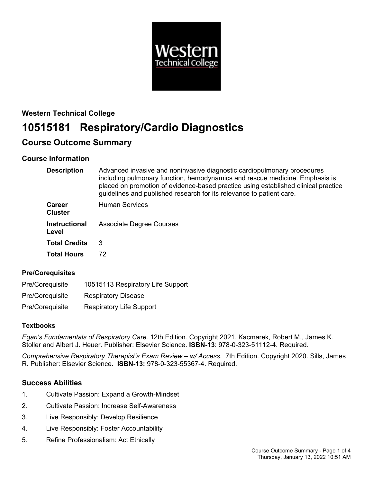

# **Western Technical College 10515181 Respiratory/Cardio Diagnostics**

# **Course Outcome Summary**

# **Course Information**

| <b>Description</b>              | Advanced invasive and noninvasive diagnostic cardiopulmonary procedures<br>including pulmonary function, hemodynamics and rescue medicine. Emphasis is<br>placed on promotion of evidence-based practice using established clinical practice<br>guidelines and published research for its relevance to patient care. |
|---------------------------------|----------------------------------------------------------------------------------------------------------------------------------------------------------------------------------------------------------------------------------------------------------------------------------------------------------------------|
| <b>Career</b><br><b>Cluster</b> | <b>Human Services</b>                                                                                                                                                                                                                                                                                                |
| <b>Instructional</b><br>Level   | <b>Associate Degree Courses</b>                                                                                                                                                                                                                                                                                      |
| <b>Total Credits</b>            | 3                                                                                                                                                                                                                                                                                                                    |
| <b>Total Hours</b>              | 72.                                                                                                                                                                                                                                                                                                                  |

# **Pre/Corequisites**

| Pre/Coreguisite | 10515113 Respiratory Life Support |
|-----------------|-----------------------------------|
| Pre/Coreguisite | <b>Respiratory Disease</b>        |
| Pre/Coreguisite | <b>Respiratory Life Support</b>   |

# **Textbooks**

*Egan's Fundamentals of Respiratory Care*. 12th Edition. Copyright 2021. Kacmarek, Robert M., James K. Stoller and Albert J. Heuer. Publisher: Elsevier Science. **ISBN-13**: 978-0-323-51112-4. Required.

*Comprehensive Respiratory Therapist's Exam Review – w/ Access*. 7th Edition. Copyright 2020. Sills, James R. Publisher: Elsevier Science. **ISBN-13:** 978-0-323-55367-4. Required.

# **Success Abilities**

- 1. Cultivate Passion: Expand a Growth-Mindset
- 2. Cultivate Passion: Increase Self-Awareness
- 3. Live Responsibly: Develop Resilience
- 4. Live Responsibly: Foster Accountability
- 5. Refine Professionalism: Act Ethically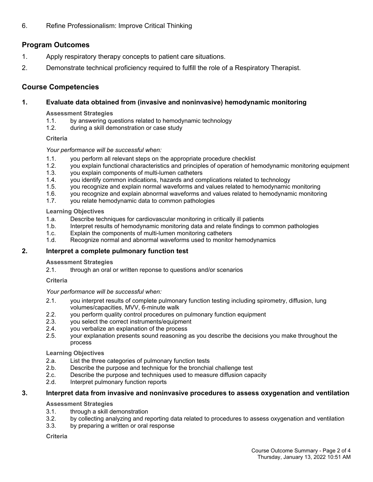6. Refine Professionalism: Improve Critical Thinking

# **Program Outcomes**

- 1. Apply respiratory therapy concepts to patient care situations.
- 2. Demonstrate technical proficiency required to fulfill the role of a Respiratory Therapist.

# **Course Competencies**

# **1. Evaluate data obtained from (invasive and noninvasive) hemodynamic monitoring**

# **Assessment Strategies**

- 1.1. by answering questions related to hemodynamic technology<br>1.2. during a skill demonstration or case study
- during a skill demonstration or case study

# **Criteria**

# *Your performance will be successful when:*

- 1.1. you perform all relevant steps on the appropriate procedure checklist
- 1.2. you explain functional characteristics and principles of operation of hemodynamic monitoring equipment
- 1.3. you explain components of multi-lumen catheters
- 1.4. you identify common indications, hazards and complications related to technology
- 1.5. you recognize and explain normal waveforms and values related to hemodynamic monitoring
- 1.6. you recognize and explain abnormal waveforms and values related to hemodynamic monitoring
- 1.7. you relate hemodynamic data to common pathologies

# **Learning Objectives**

- 1.a. Describe techniques for cardiovascular monitoring in critically ill patients
- 1.b. Interpret results of hemodynamic monitoring data and relate findings to common pathologies
- 1.c. Explain the components of multi-lumen monitoring catheters
- 1.d. Recognize normal and abnormal waveforms used to monitor hemodynamics

# **2. Interpret a complete pulmonary function test**

# **Assessment Strategies**

2.1. through an oral or written reponse to questions and/or scenarios

# **Criteria**

# *Your performance will be successful when:*

- 2.1. you interpret results of complete pulmonary function testing including spirometry, diffusion, lung volumes/capacities, MVV, 6-minute walk
- 2.2. you perform quality control procedures on pulmonary function equipment
- 2.3. you select the correct instruments/equipment
- 2.4. you verbalize an explanation of the process
- 2.5. your explanation presents sound reasoning as you describe the decisions you make throughout the process

# **Learning Objectives**

- 2.a. List the three categories of pulmonary function tests
- 2.b. Describe the purpose and technique for the bronchial challenge test
- 2.c. Describe the purpose and techniques used to measure diffusion capacity
- 2.d. Interpret pulmonary function reports

# **3. Interpret data from invasive and noninvasive procedures to assess oxygenation and ventilation**

# **Assessment Strategies**

- 3.1. through a skill demonstration
- 3.2. by collecting analyzing and reporting data related to procedures to assess oxygenation and ventilation
- 3.3. by preparing a written or oral response

# **Criteria**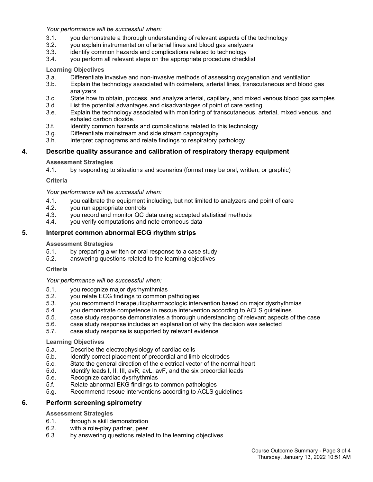*Your performance will be successful when:*

- 3.1. you demonstrate a thorough understanding of relevant aspects of the technology
- 3.2. you explain instrumentation of arterial lines and blood gas analyzers
- 3.3. identify common hazards and complications related to technology
- 3.4. you perform all relevant steps on the appropriate procedure checklist

#### **Learning Objectives**

- 3.a. Differentiate invasive and non-invasive methods of assessing oxygenation and ventilation
- 3.b. Explain the technology associated with oximeters, arterial lines, transcutaneous and blood gas analyzers
- 3.c. State how to obtain, process, and analyze arterial, capillary, and mixed venous blood gas samples
- 3.d. List the potential advantages and disadvantages of point of care testing
- 3.e. Explain the technology associated with monitoring of transcutaneous, arterial, mixed venous, and exhaled carbon dioxide.
- 3.f. Identify common hazards and complications related to this technology
- 3.g. Differentiate mainstream and side stream capnography
- 3.h. Interpret capnograms and relate findings to respiratory pathology

#### **4. Describe quality assurance and calibration of respiratory therapy equipment**

#### **Assessment Strategies**

4.1. by responding to situations and scenarios (format may be oral, written, or graphic)

#### **Criteria**

#### *Your performance will be successful when:*

- 4.1. you calibrate the equipment including, but not limited to analyzers and point of care
- 4.2. you run appropriate controls<br>4.3. vou record and monitor QC of
- 4.3. you record and monitor QC data using accepted statistical methods
- 4.4. you verify computations and note erroneous data

# **5. Interpret common abnormal ECG rhythm strips**

#### **Assessment Strategies**

- 5.1. by preparing a written or oral response to a case study
- 5.2. answering questions related to the learning objectives

#### **Criteria**

#### *Your performance will be successful when:*

- 5.1. you recognize major dysrhymthmias
- 5.2. you relate ECG findings to common pathologies
- 5.3. you recommend therapeutic/pharmacologic intervention based on major dysrhythmias
- 5.4. you demonstrate competence in rescue intervention according to ACLS guidelines
- 5.5. case study response demonstrates a thorough understanding of relevant aspects of the case
- 5.6. case study response includes an explanation of why the decision was selected
- 5.7. case study response is supported by relevant evidence

#### **Learning Objectives**

- 5.a. Describe the electrophysiology of cardiac cells
- 5.b. Identify correct placement of precordial and limb electrodes
- 5.c. State the general direction of the electrical vector of the normal heart
- 5.d. Identify leads I, II, III, avR, avL, avF, and the six precordial leads
- 5.e. Recognize cardiac dysrhythmias
- 5.f. Relate abnormal EKG findings to common pathologies
- 5.g. Recommend rescue interventions according to ACLS guidelines

# **6. Perform screening spirometry**

#### **Assessment Strategies**

- 6.1. through a skill demonstration<br>6.2. with a role-play partner, peer
- with a role-play partner, peer
- 6.3. by answering questions related to the learning objectives